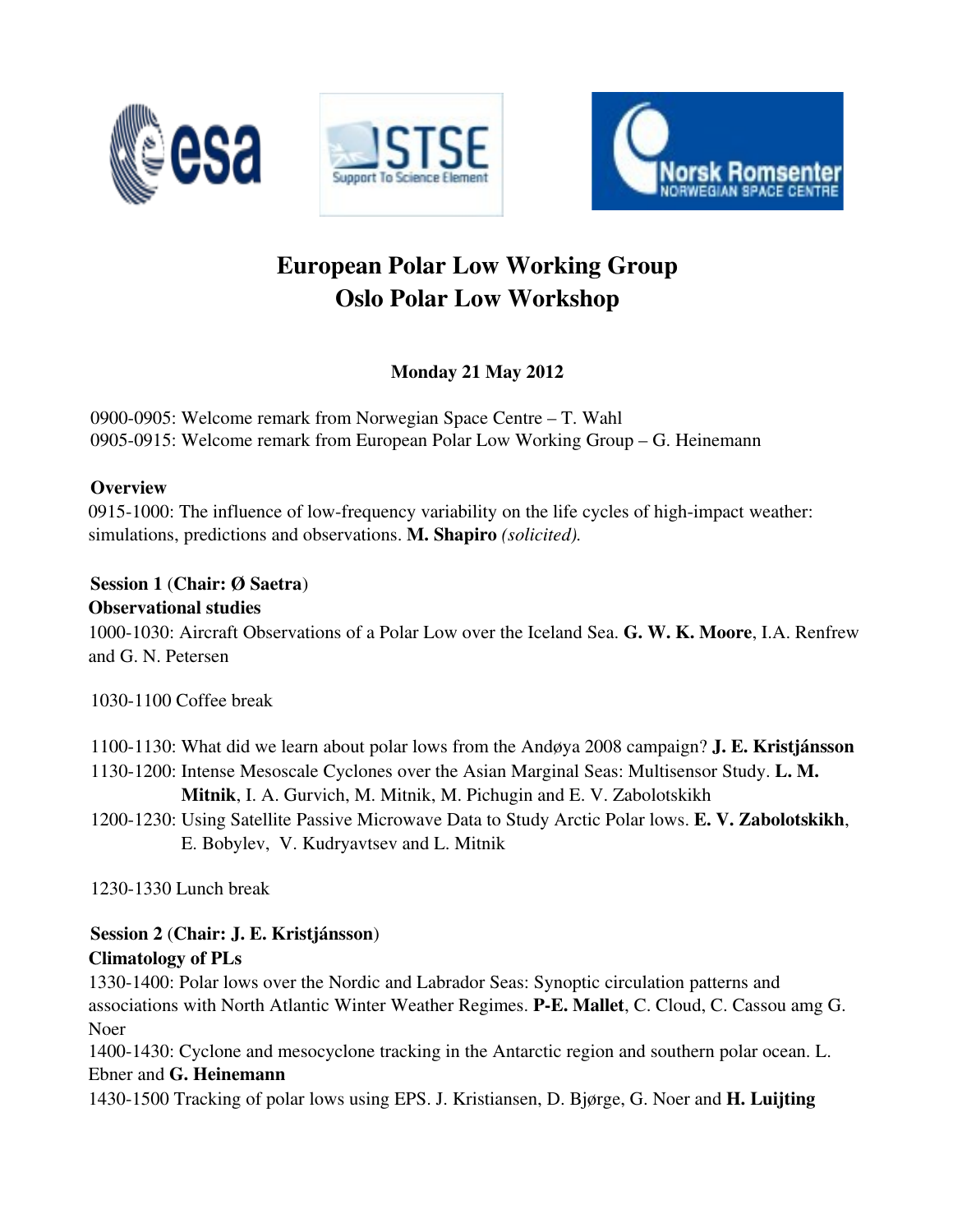





# European Polar Low Working Group Oslo Polar Low Workshop

Monday 21 May 2012

0900-0905: Welcome remark from Norwegian Space Centre – T. Wahl 0905-0915: Welcome remark from European Polar Low Working Group – G. Heinemann

## **Overview**

0915-1000: The influence of low-frequency variability on the life cycles of high-impact weather: simulations, predictions and observations. M. Shapiro *(solicited).*

#### Session 1 (Chair: Ø Saetra) Observational studies

1000-1030: Aircraft Observations of a Polar Low over the Iceland Sea. G. W. K. Moore, I.A. Renfrew and G. N. Petersen

1030-1100 Coffee break

1100-1130: What did we learn about polar lows from the Andøya 2008 campaign? **J. E. Kristjánsson** 11301200: Intense Mesoscale Cyclones over the Asian Marginal Seas: Multisensor Study. L. M.

Mitnik, I. A. Gurvich, M. Mitnik, M. Pichugin and E. V. Zabolotskikh

1200-1230: Using Satellite Passive Microwave Data to Study Arctic Polar lows. E. V. Zabolotskikh, E. Bobylev, V. Kudryavtsev and L. Mitnik

1230-1330 Lunch break

# Session 2 (Chair: J. E. Kristjánsson) Climatology of PLs

1330-1400: Polar lows over the Nordic and Labrador Seas: Synoptic circulation patterns and associations with North Atlantic Winter Weather Regimes. PE. Mallet, C. Cloud, C. Cassou amg G. Noer

1400-1430: Cyclone and mesocyclone tracking in the Antarctic region and southern polar ocean. L. Ebner and G. Heinemann

1430-1500 Tracking of polar lows using EPS. J. Kristiansen, D. Bjørge, G. Noer and **H. Luijting**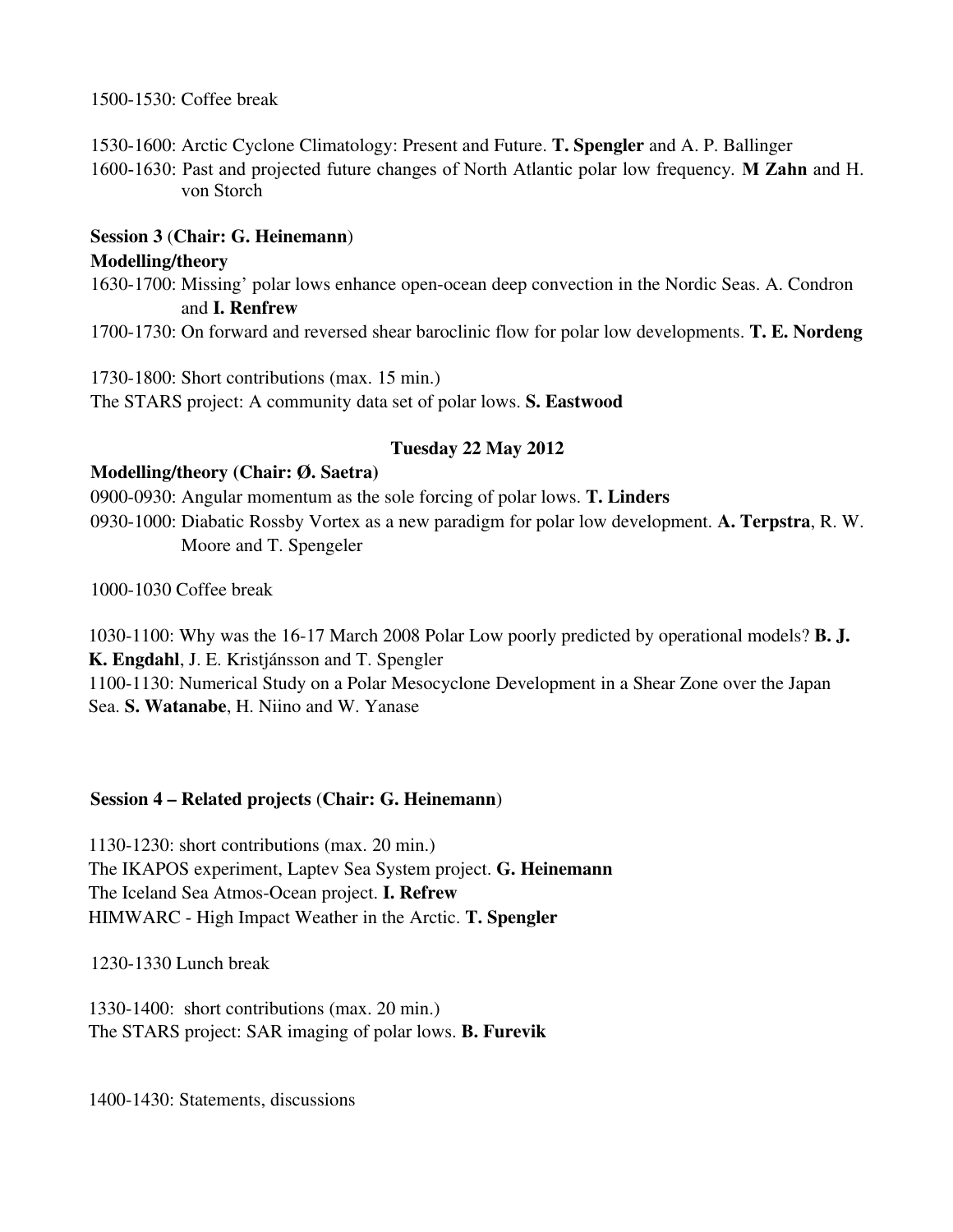1500-1530: Coffee break

1530-1600: Arctic Cyclone Climatology: Present and Future. T. Spengler and A. P. Ballinger

1600-1630: Past and projected future changes of North Atlantic polar low frequency. **M Zahn** and H. von Storch

### Session 3 (Chair: G. Heinemann)

#### Modelling/theory

1630-1700: Missing' polar lows enhance open-ocean deep convection in the Nordic Seas. A. Condron and I. Renfrew

1700-1730: On forward and reversed shear baroclinic flow for polar low developments. **T. E. Nordeng** 

1730-1800: Short contributions (max. 15 min.) The STARS project: A community data set of polar lows. S. Eastwood

## Tuesday 22 May 2012

#### Modelling/theory (Chair: Ø. Saetra)

0900-0930: Angular momentum as the sole forcing of polar lows. **T. Linders** 0930-1000: Diabatic Rossby Vortex as a new paradigm for polar low development. A. Terpstra, R. W. Moore and T. Spengeler

1000-1030 Coffee break

1030-1100: Why was the 16-17 March 2008 Polar Low poorly predicted by operational models? **B. J.** K. Engdahl, J. E. Kristjánsson and T. Spengler 1100-1130: Numerical Study on a Polar Mesocyclone Development in a Shear Zone over the Japan Sea. S. Watanabe, H. Niino and W. Yanase

#### Session 4 – Related projects (Chair: G. Heinemann)

1130-1230: short contributions (max. 20 min.) The IKAPOS experiment, Laptev Sea System project. G. Heinemann The Iceland Sea Atmos-Ocean project. **I. Refrew** HIMWARC - High Impact Weather in the Arctic. T. Spengler

1230-1330 Lunch break

1330-1400: short contributions (max. 20 min.) The STARS project: SAR imaging of polar lows. **B. Furevik** 

1400-1430: Statements, discussions